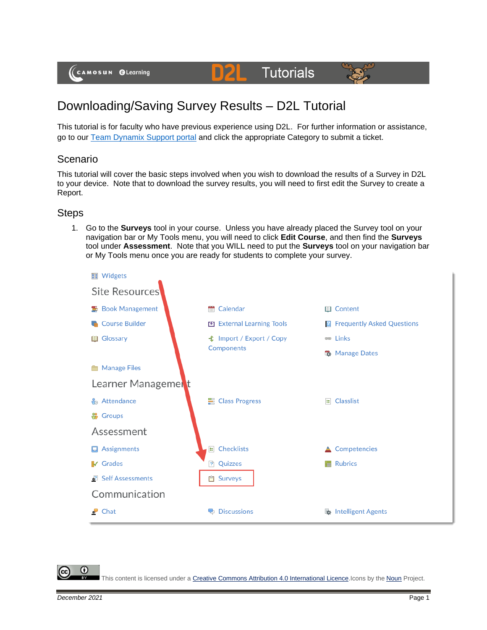(CAMOSUN @Learning

# Downloading/Saving Survey Results – D2L Tutorial

This tutorial is for faculty who have previous experience using D2L. For further information or assistance, go to our [Team Dynamix Support portal](https://camosun.teamdynamix.com/TDClient/67/Portal/Requests/ServiceCatalog?CategoryID=523) and click the appropriate Category to submit a ticket.

**D21** 

**Tutorials** 

### Scenario

This tutorial will cover the basic steps involved when you wish to download the results of a Survey in D2L to your device. Note that to download the survey results, you will need to first edit the Survey to create a Report.

#### **Steps**

1. Go to the **Surveys** tool in your course. Unless you have already placed the Survey tool on your navigation bar or My Tools menu, you will need to click **Edit Course**, and then find the **Surveys** tool under **Assessment**. Note that you WILL need to put the **Surveys** tool on your navigation bar or My Tools menu once you are ready for students to complete your survey.



G

This content is licensed under [a Creative Commons Attribution 4.0 International Licence.I](https://creativecommons.org/licenses/by/4.0/)cons by the [Noun](https://creativecommons.org/website-icons/) Project.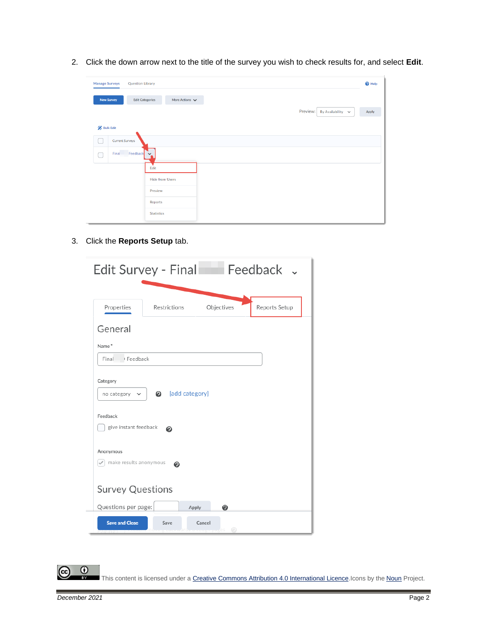2. Click the down arrow next to the title of the survey you wish to check results for, and select **Edit**.

| <b>Manage Surveys</b> |                        | <b>Question Library</b>        |                        |                     |  |  |          |                        | $\bullet$ Help |
|-----------------------|------------------------|--------------------------------|------------------------|---------------------|--|--|----------|------------------------|----------------|
|                       | <b>New Survey</b>      | <b>Edit Categories</b>         |                        | More Actions $\vee$ |  |  |          |                        |                |
|                       |                        |                                |                        |                     |  |  | Preview: | By Availability $\sim$ | Apply          |
| <b>Bulk Edit</b>      |                        |                                |                        |                     |  |  |          |                        |                |
|                       | <b>Current Surveys</b> |                                |                        |                     |  |  |          |                        |                |
|                       |                        | Final Feedback<br>$\checkmark$ |                        |                     |  |  |          |                        |                |
|                       |                        | Edit                           |                        |                     |  |  |          |                        |                |
|                       |                        |                                | <b>Hide from Users</b> |                     |  |  |          |                        |                |
|                       |                        | Preview                        |                        |                     |  |  |          |                        |                |
|                       |                        | Reports                        |                        |                     |  |  |          |                        |                |
|                       |                        | <b>Statistics</b>              |                        |                     |  |  |          |                        |                |

3. Click the **Reports Setup** tab.

| Feedback v<br>Edit Survey - Final                                                      |              |             |               |  |  |  |  |  |
|----------------------------------------------------------------------------------------|--------------|-------------|---------------|--|--|--|--|--|
| Properties                                                                             | Restrictions | Objectives  | Reports Setup |  |  |  |  |  |
| General                                                                                |              |             |               |  |  |  |  |  |
| Name*                                                                                  |              |             |               |  |  |  |  |  |
| Feedback<br>Final                                                                      |              |             |               |  |  |  |  |  |
| add category]<br>no category<br>$\checkmark$<br>Feedback<br>give instant feedback<br>ℯ |              |             |               |  |  |  |  |  |
| Anonymous                                                                              |              |             |               |  |  |  |  |  |
| make results anonymous<br>๏<br><b>Survey Questions</b>                                 |              |             |               |  |  |  |  |  |
| Questions per page:                                                                    | Apply        | ◉           |               |  |  |  |  |  |
| <b>Save and Close</b>                                                                  | Save         | Cancel<br>⊙ |               |  |  |  |  |  |

This content is licensed under [a Creative Commons Attribution 4.0 International Licence.I](https://creativecommons.org/licenses/by/4.0/)cons by the [Noun](https://creativecommons.org/website-icons/) Project.

 $\overline{0}$ 

(cc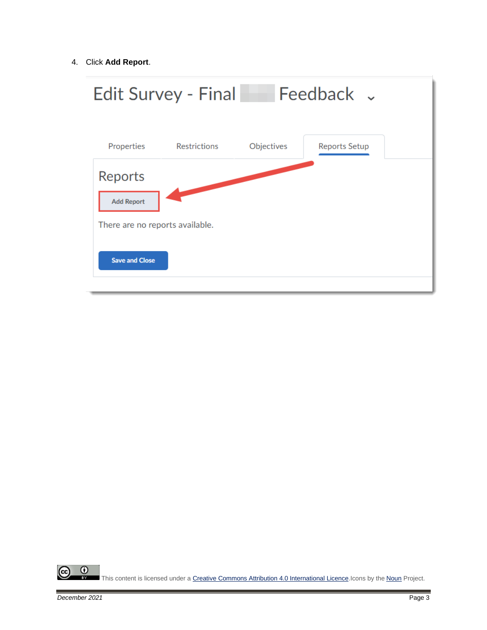4. Click **Add Report**.



 $\odot$ This content is licensed under [a Creative Commons Attribution 4.0 International Licence.I](https://creativecommons.org/licenses/by/4.0/)cons by the [Noun](https://creativecommons.org/website-icons/) Project.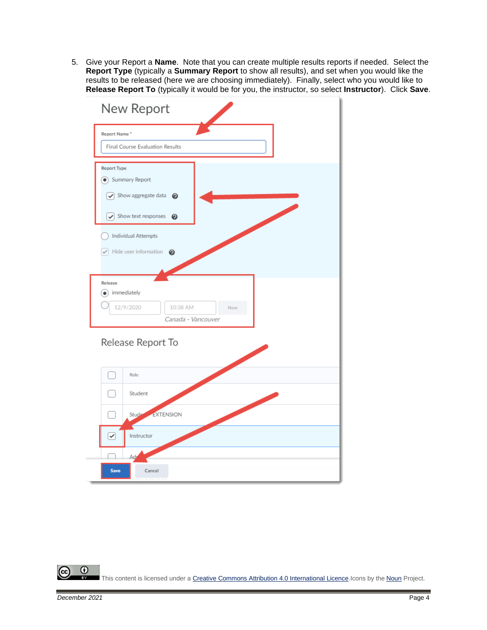5. Give your Report a **Name**. Note that you can create multiple results reports if needed. Select the **Report Type** (typically a **Summary Report** to show all results), and set when you would like the results to be released (here we are choosing immediately). Finally, select who you would like to **Release Report To** (typically it would be for you, the instructor, so select **Instructor**). Click **Save**.



 $\odot$ This content is licensed under [a Creative Commons Attribution 4.0 International Licence.I](https://creativecommons.org/licenses/by/4.0/)cons by the [Noun](https://creativecommons.org/website-icons/) Project.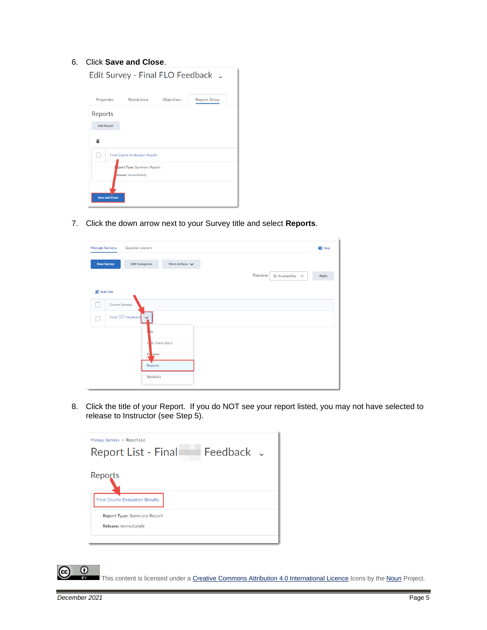#### 6. Click **Save and Close**.

| Edit Survey - Final FLO Feedback .                |                                        |                   |                      |  |  |  |  |  |
|---------------------------------------------------|----------------------------------------|-------------------|----------------------|--|--|--|--|--|
| <b>Properties</b>                                 | <b>Restrictions</b>                    | <b>Objectives</b> | <b>Reports Setup</b> |  |  |  |  |  |
| Reports                                           |                                        |                   |                      |  |  |  |  |  |
| <b>Add Report</b>                                 |                                        |                   |                      |  |  |  |  |  |
|                                                   |                                        |                   |                      |  |  |  |  |  |
|                                                   | <b>Final Course Evaluation Results</b> |                   |                      |  |  |  |  |  |
| eport Type: Summary Report<br>elease: immediately |                                        |                   |                      |  |  |  |  |  |
| <b>Save and Close</b>                             |                                        |                   |                      |  |  |  |  |  |

7. Click the down arrow next to your Survey title and select **Reports**.

| <b>Manage Surveys</b> |                        | <b>Question Library</b>                                   |                        |                               | <sup>O</sup> Help |
|-----------------------|------------------------|-----------------------------------------------------------|------------------------|-------------------------------|-------------------|
|                       | <b>New Survey</b>      | <b>Edit Categories</b>                                    | More Actions $\sqrt{}$ | Preview:<br>By Availability v | Apply             |
| <b>Bulk Edit</b>      |                        |                                                           |                        |                               |                   |
|                       | <b>Current Surveys</b> |                                                           |                        |                               |                   |
|                       |                        | Final Feedback<br>$\checkmark$                            |                        |                               |                   |
|                       |                        | lit<br>н<br>view<br>$P_1$<br>Reports<br><b>Statistics</b> | de from Users          |                               |                   |

8. Click the title of your Report. If you do NOT see your report listed, you may not have selected to release to Instructor (see Step 5).

| Manage Surveys > Report List<br>Report List - Final | Feedback J |  |
|-----------------------------------------------------|------------|--|
| Reports                                             |            |  |
| <b>Final Course Evaluation Results</b>              |            |  |
| <b>Report Type: Summary Report</b>                  |            |  |
| <b>Release: immediately</b>                         |            |  |
|                                                     |            |  |

This content is licensed under [a Creative Commons Attribution 4.0 International Licence.I](https://creativecommons.org/licenses/by/4.0/)cons by the [Noun](https://creativecommons.org/website-icons/) Project.

 $\odot$